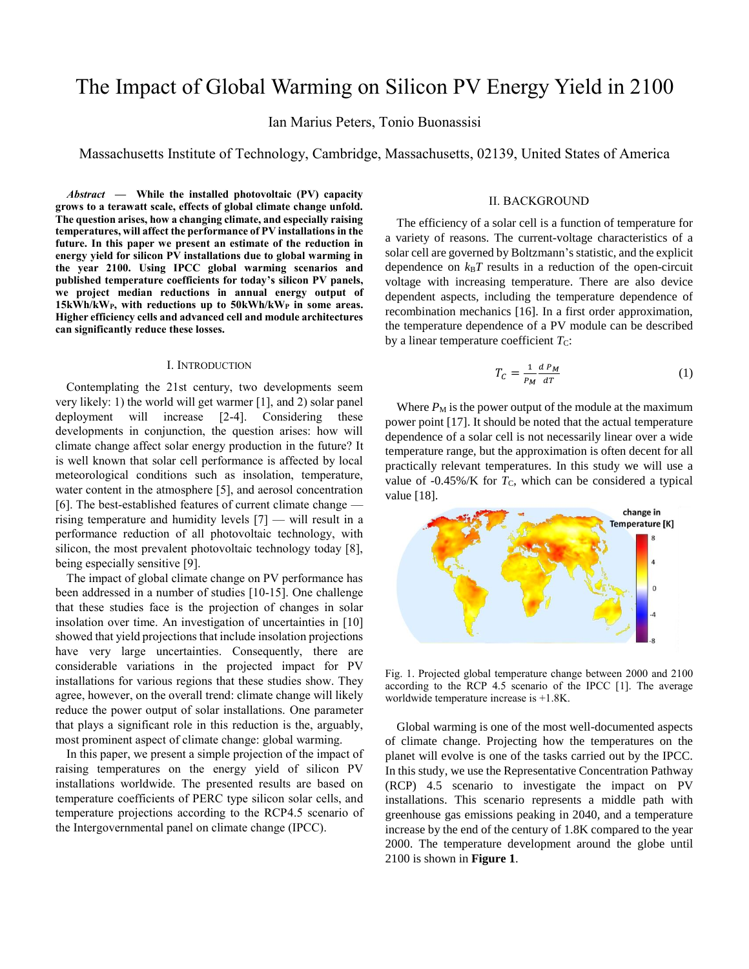# The Impact of Global Warming on Silicon PV Energy Yield in 2100

Ian Marius Peters, Tonio Buonassisi

Massachusetts Institute of Technology, Cambridge, Massachusetts, 02139, United States of America

*Abstract* **— While the installed photovoltaic (PV) capacity grows to a terawatt scale, effects of global climate change unfold. The question arises, how a changing climate, and especially raising temperatures, will affect the performance of PV installations in the future. In this paper we present an estimate of the reduction in energy yield for silicon PV installations due to global warming in the year 2100. Using IPCC global warming scenarios and published temperature coefficients for today's silicon PV panels, we project median reductions in annual energy output of 15kWh/kWP, with reductions up to 50kWh/kW<sup>P</sup> in some areas. Higher efficiency cells and advanced cell and module architectures can significantly reduce these losses.** 

#### I. INTRODUCTION

Contemplating the 21st century, two developments seem very likely: 1) the world will get warmer [1], and 2) solar panel deployment will increase [2-4]. Considering these developments in conjunction, the question arises: how will climate change affect solar energy production in the future? It is well known that solar cell performance is affected by local meteorological conditions such as insolation, temperature, water content in the atmosphere [5], and aerosol concentration [6]. The best-established features of current climate change rising temperature and humidity levels [7] — will result in a performance reduction of all photovoltaic technology, with silicon, the most prevalent photovoltaic technology today [8], being especially sensitive [9].

The impact of global climate change on PV performance has been addressed in a number of studies [10-15]. One challenge that these studies face is the projection of changes in solar insolation over time. An investigation of uncertainties in [10] showed that yield projections that include insolation projections have very large uncertainties. Consequently, there are considerable variations in the projected impact for PV installations for various regions that these studies show. They agree, however, on the overall trend: climate change will likely reduce the power output of solar installations. One parameter that plays a significant role in this reduction is the, arguably, most prominent aspect of climate change: global warming.

In this paper, we present a simple projection of the impact of raising temperatures on the energy yield of silicon PV installations worldwide. The presented results are based on temperature coefficients of PERC type silicon solar cells, and temperature projections according to the RCP4.5 scenario of the Intergovernmental panel on climate change (IPCC).

## II. BACKGROUND

The efficiency of a solar cell is a function of temperature for a variety of reasons. The current-voltage characteristics of a solar cell are governed by Boltzmann's statistic, and the explicit dependence on  $k_B T$  results in a reduction of the open-circuit voltage with increasing temperature. There are also device dependent aspects, including the temperature dependence of recombination mechanics [16]. In a first order approximation, the temperature dependence of a PV module can be described by a linear temperature coefficient  $T<sub>C</sub>$ :

$$
T_C = \frac{1}{P_M} \frac{d P_M}{dT} \tag{1}
$$

Where  $P_M$  is the power output of the module at the maximum power point [17]. It should be noted that the actual temperature dependence of a solar cell is not necessarily linear over a wide temperature range, but the approximation is often decent for all practically relevant temperatures. In this study we will use a value of  $-0.45\%$ /K for  $T_c$ , which can be considered a typical value [18].



Fig. 1. Projected global temperature change between 2000 and 2100 according to the RCP 4.5 scenario of the IPCC [1]. The average worldwide temperature increase is +1.8K.

Global warming is one of the most well-documented aspects of climate change. Projecting how the temperatures on the planet will evolve is one of the tasks carried out by the IPCC. In this study, we use the Representative Concentration Pathway (RCP) 4.5 scenario to investigate the impact on PV installations. This scenario represents a middle path with greenhouse gas emissions peaking in 2040, and a temperature increase by the end of the century of 1.8K compared to the year 2000. The temperature development around the globe until 2100 is shown in **Figure 1**.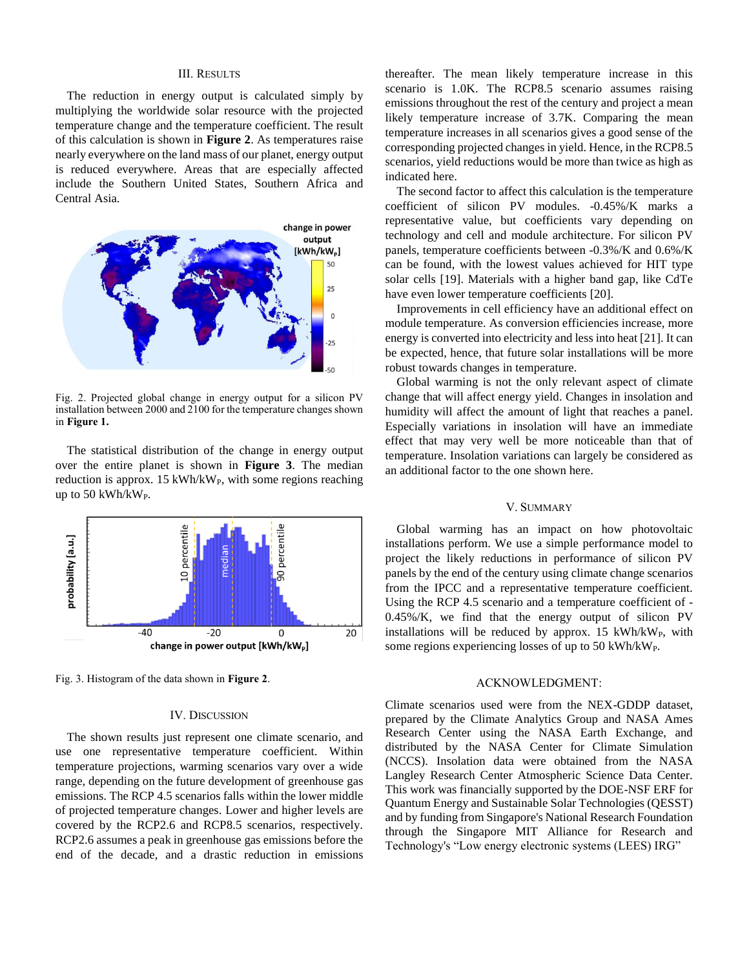### III. RESULTS

The reduction in energy output is calculated simply by multiplying the worldwide solar resource with the projected temperature change and the temperature coefficient. The result of this calculation is shown in **Figure 2**. As temperatures raise nearly everywhere on the land mass of our planet, energy output is reduced everywhere. Areas that are especially affected include the Southern United States, Southern Africa and Central Asia.



Fig. 2. Projected global change in energy output for a silicon PV installation between 2000 and 2100 for the temperature changes shown in **Figure 1.**

The statistical distribution of the change in energy output over the entire planet is shown in **Figure 3**. The median reduction is approx. 15 kWh/kW<sub>P</sub>, with some regions reaching up to 50 kWh/kWP.



Fig. 3. Histogram of the data shown in **Figure 2**.

#### IV. DISCUSSION

The shown results just represent one climate scenario, and use one representative temperature coefficient. Within temperature projections, warming scenarios vary over a wide range, depending on the future development of greenhouse gas emissions. The RCP 4.5 scenarios falls within the lower middle of projected temperature changes. Lower and higher levels are covered by the RCP2.6 and RCP8.5 scenarios, respectively. RCP2.6 assumes a peak in greenhouse gas emissions before the end of the decade, and a drastic reduction in emissions thereafter. The mean likely temperature increase in this scenario is 1.0K. The RCP8.5 scenario assumes raising emissions throughout the rest of the century and project a mean likely temperature increase of 3.7K. Comparing the mean temperature increases in all scenarios gives a good sense of the corresponding projected changes in yield. Hence, in the RCP8.5 scenarios, yield reductions would be more than twice as high as indicated here.

The second factor to affect this calculation is the temperature coefficient of silicon PV modules. -0.45%/K marks a representative value, but coefficients vary depending on technology and cell and module architecture. For silicon PV panels, temperature coefficients between -0.3%/K and 0.6%/K can be found, with the lowest values achieved for HIT type solar cells [19]. Materials with a higher band gap, like CdTe have even lower temperature coefficients [20].

Improvements in cell efficiency have an additional effect on module temperature. As conversion efficiencies increase, more energy is converted into electricity and less into heat [21]. It can be expected, hence, that future solar installations will be more robust towards changes in temperature.

Global warming is not the only relevant aspect of climate change that will affect energy yield. Changes in insolation and humidity will affect the amount of light that reaches a panel. Especially variations in insolation will have an immediate effect that may very well be more noticeable than that of temperature. Insolation variations can largely be considered as an additional factor to the one shown here.

#### V. SUMMARY

Global warming has an impact on how photovoltaic installations perform. We use a simple performance model to project the likely reductions in performance of silicon PV panels by the end of the century using climate change scenarios from the IPCC and a representative temperature coefficient. Using the RCP 4.5 scenario and a temperature coefficient of - 0.45%/K, we find that the energy output of silicon PV installations will be reduced by approx.  $15$  kWh/kW<sub>P</sub>, with some regions experiencing losses of up to 50 kWh/kWP.

#### ACKNOWLEDGMENT:

Climate scenarios used were from the NEX-GDDP dataset, prepared by the Climate Analytics Group and NASA Ames Research Center using the NASA Earth Exchange, and distributed by the NASA Center for Climate Simulation (NCCS). Insolation data were obtained from the NASA Langley Research Center Atmospheric Science Data Center. This work was financially supported by the DOE-NSF ERF for Quantum Energy and Sustainable Solar Technologies (QESST) and by funding from Singapore's National Research Foundation through the Singapore MIT Alliance for Research and Technology's "Low energy electronic systems (LEES) IRG"